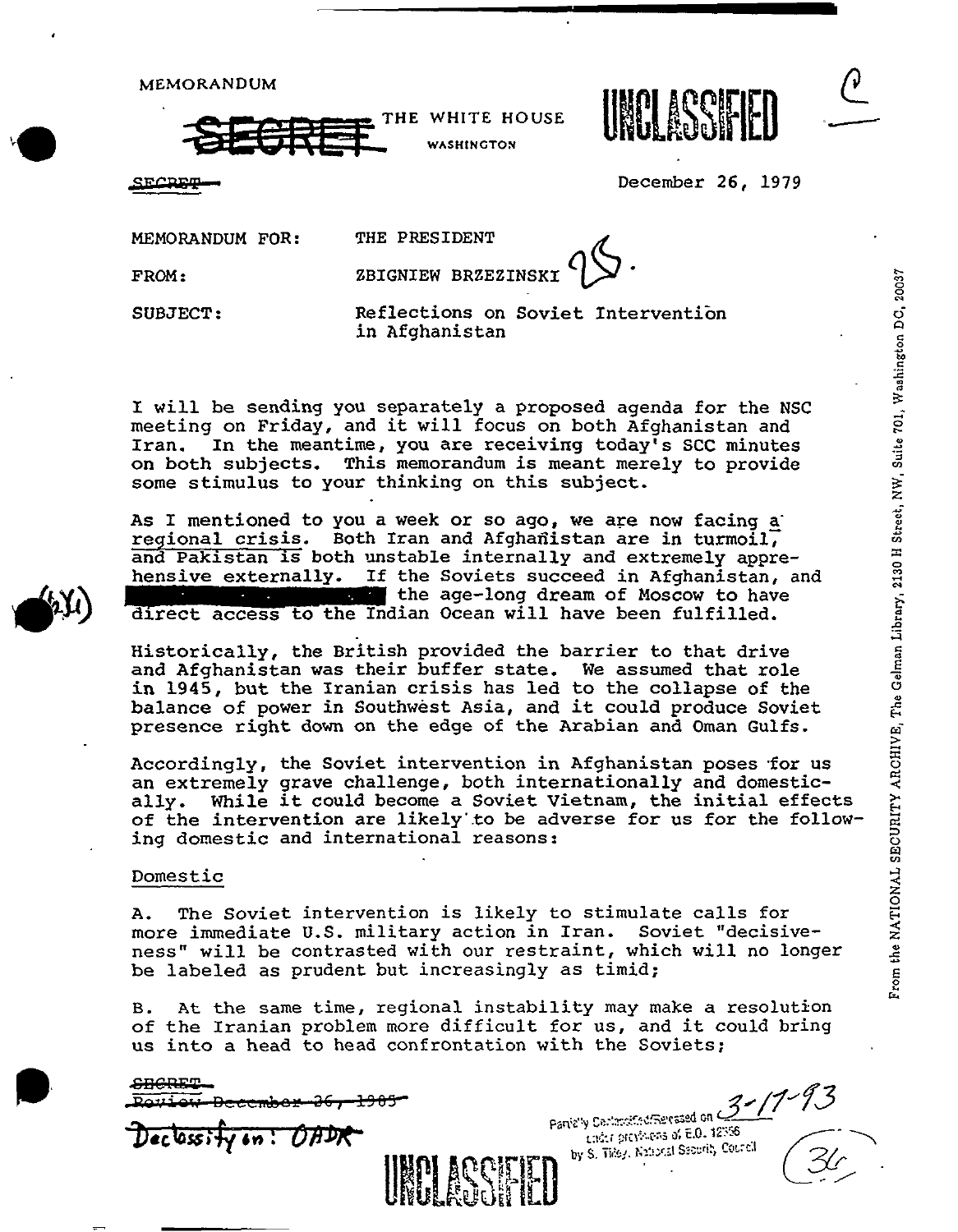MEMORANDUM



THE WHITE HOUSE **WASHINGTON** 



December 26, 1979

MEMORANDUM FOR:

THE PRESIDENT ZBIGNIEW BRZEZINSKI

SUBJECT:

**SEC:aE'i'** 

FROM:

 $\bullet$ 

Reflections on Soviet Intervention in Afghanistan

I will be sending you separately a proposed agenda for the NSC meeting on Friday, and it will focus on both Afghanistan and<br>Iran. In the meantime, you are receiving today's SCC minutes In the meantime, you are receiving today's SCC minutes on both subjects. This memorandum is meant merely to provide some stimulus to your thinking on this subject.

As I mentioned to you a week or so ago, we are now facing a regional crisis. Both Iran and Afghanistan are in turmoil, and Pakistan is both unstable internally and extremely apprehensive externally. If the Soviets succeed in Afghanistan, and the age-long dream of Moscow to have direct access to the Indian Ocean will have been fulfilled.

Historically, the British provided the barrier to that drive and Afghanistan was their buffer state. We assumed that role in 1945, but the Iranian crisis has led to the collapse of the balance of power in Southwest Asia, and it could produce Soviet presence right down on the edge of the Arabian and Oman Gulfs.

Accordingly, the Soviet intervention in Afghanistan poses for us an extremely grave challenge, both internationally and domestically. While it could become a Soviet Vietnam, the initial effects of the intervention are likely to be adverse for us for the following domestic and international reasons:

## Domestic

A. The Soviet intervention is likely to stimulate calls for more immediate U.S. military action in Iran. Soviet "decisiveness" will be contrasted with our restraint, which will no longer be labeled as prudent but increasingly as timid;

B. At the same time, regional instability may make a resolution of the Iranian problem more difficult for us, and it could bring us into a head to head confrontation with the Soviets;

**SHGRET** <del>1985</del> سكت <del>Decembar</del>

 $Dec$ lossity on:  $O$ *HDR* 

Paniz'ly Continue for the resed on 3-17 Linder previousna of E.O. 12356 by S. Tidey, National Security Council

hington DC  $\tilde{\varepsilon}$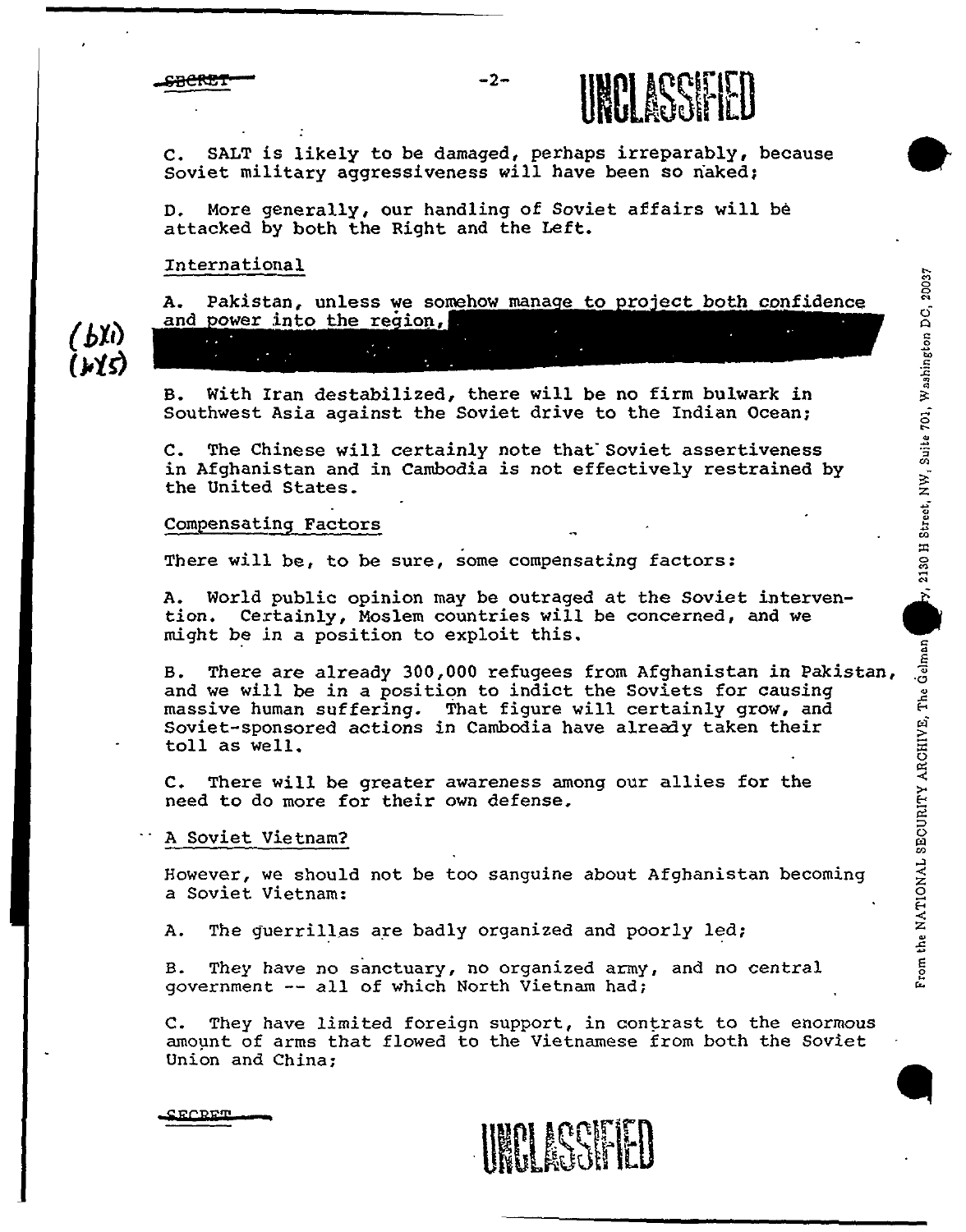2<del>0851</del>

 $(b)$ しいり

 $-2-$ 

**UMLASS** 

# c. SALT is likely to be damaged, perhaps irreparably, because Soviet military aggressiveness will have been so naked;

D. More generally, our handling of Soviet affairs will be attacked by both the Right and the Left.

### International

 $A_{-}$ Pakistan, unless we somehow manage to project both confidence and power into the region.

B. With Iran destabilized, there will be no firm bulwark in Southwest Asia against the Soviet drive to the Indian Ocean;

C. The Chinese will certainly note that" Soviet assertiveness in Afghanistan and in Cambodia is not effectively restrained by the United States.

#### Compensating Factors

There will be, to be sure, some compensating factors:

A. World public opinion may be outraged at the Soviet interven-<br>tion. Certainly. Moslem countries will be concerned, and we Certainly, Moslem countries will be concerned, and we might be in a position to exploit this.

B. There are already 300,000 refugees from Afghanistan in Pakistan, and we will be in a position to indict the Soviets for causing massive human suffering. That figure will certainly grow, and Soviet-sponsored actions in Cambodia have already taken their toll as well.

C. There will be greater awareness among our allies for the need to do more for their own defense.

#### A Soviet Vietnam?

However, we should not be too sanguine about Afghanistan becoming a Soviet Vietnam:

A. The querrillas are badly organized and poorly led;

B. They have *no* sanctuary, no organized army, and no central government -- all of which North Vietnam had;

C. They have limited foreign support, in contrast to the enormous amount of arms that flowed to the Vietnamese from both the Soviet Union and China;

RODET



E

E 0 0: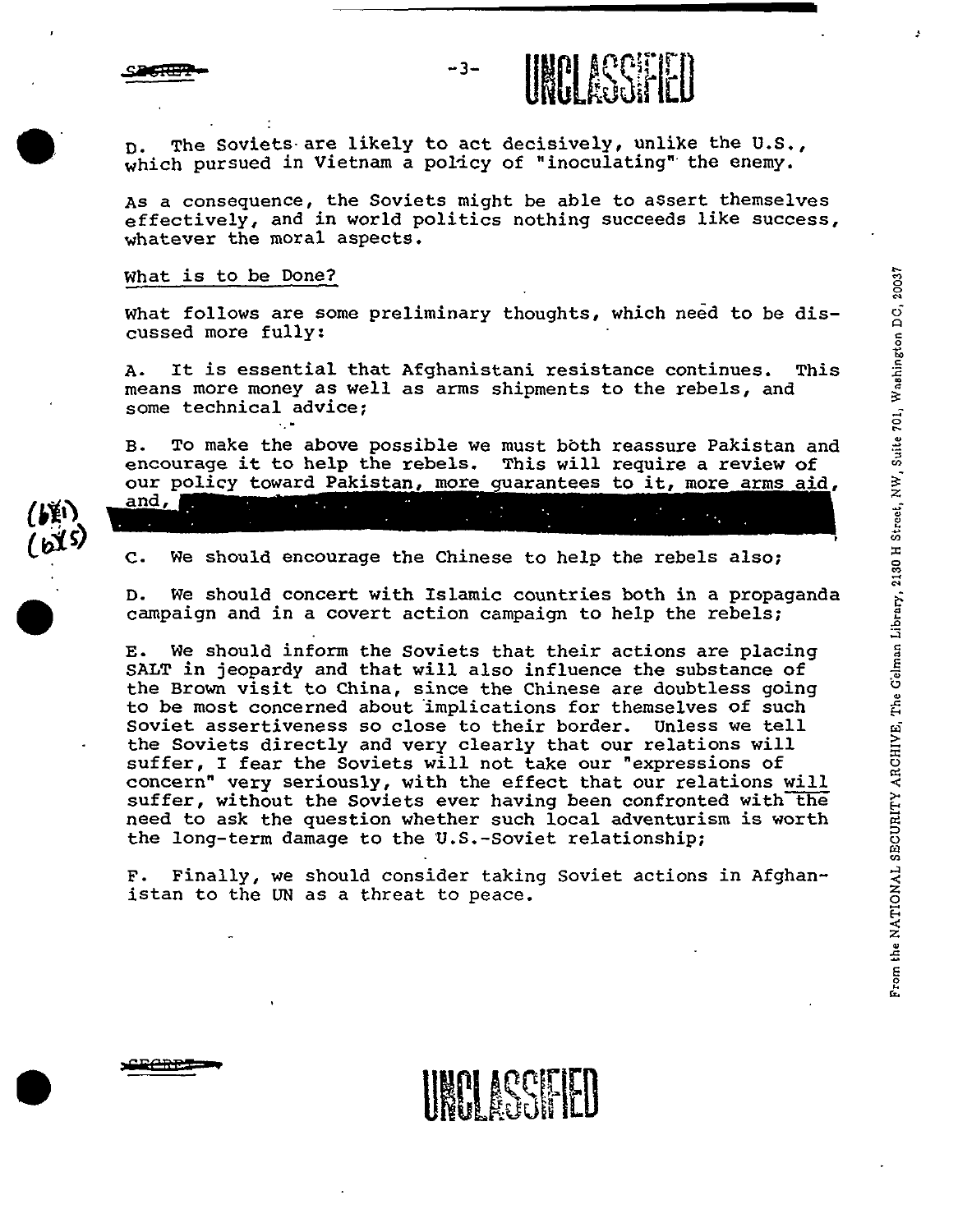**e·** 

**TEI** 

n. The Soviets are likely to act decisively, unlike the U.S., which pursued in Vietnam a policy of "inoculating" the enemy.

As a consequence, the Soviets might be able to assert themselves effectively, and in world politics nothing succeeds like success, whatever the moral aspects.

#### What is to be Done?

What follows are some preliminary thoughts, which need to be discussed more fully:

A. It is essential that Afghanistani resistance continues. This means more money as well as arms shipments to the rebels, and some technical advice;

B. To make the above possible we must both reassure Pakistan and encourage it to help the rebels. This will require a review of encourage it to help the rebels. This will require a review of<br>our policy toward Pakistan, more guarantees to it, more <u>arms aid</u>, and, j

 $1615$ 

**:SF?fBf** 

c. We should encourage the Chinese to help the rebels also;

D. We should concert with Islamic countries both in a propaganda campaign and in a covert action campaign to help the rebels;

E. We should inform the Soviets that their actions are placing SALT in jeopardy and that will also influence the substance of the Brown visit to China, since the Chinese are doubtless going to be most concerned about implications for themselves of such Soviet assertiveness so close to their border. Unless we tell the Soviets directly and very clearly that our relations will suffer, I fear the Soviets will not take our "expressions of concern" very seriously, with the effect that our relations will suffer, without the Soviets ever having been confronted with the need to ask the question whether such local adventurism is worth the long-term damage to the U.S.-Soviet relationship;

F. Finally, we should consider taking Soviet actions in Afghanistan to the UN as a threat to peace.

≷<br>Z